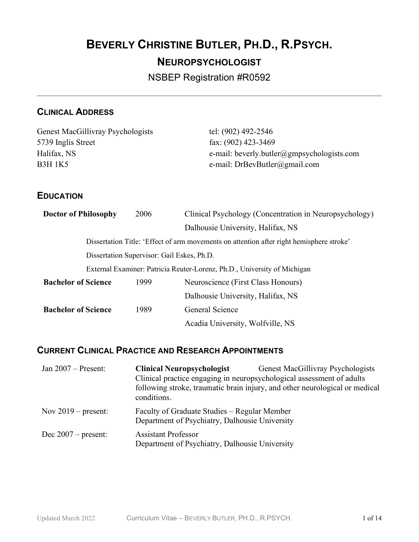# BEVERLY CHRISTINE BUTLER, PH.D., R.PSYCH. NEUROPSYCHOLOGIST

NSBEP Registration #R0592

## CLINICAL ADDRESS

| Genest MacGillivray Psychologists | tel: (902) 492-2546                        |
|-----------------------------------|--------------------------------------------|
| 5739 Inglis Street                | fax: $(902)$ 423-3469                      |
| Halifax, NS                       | e-mail: beverly.butler@gmpsychologists.com |
| B3H 1K5                           | e-mail: $DrBevButler(\partial gmail.com)$  |
|                                   |                                            |

### **EDUCATION**

| 2006                                                                                     | Clinical Psychology (Concentration in Neuropsychology) |  |
|------------------------------------------------------------------------------------------|--------------------------------------------------------|--|
|                                                                                          | Dalhousie University, Halifax, NS                      |  |
| Dissertation Title: 'Effect of arm movements on attention after right hemisphere stroke' |                                                        |  |
| Dissertation Supervisor: Gail Eskes, Ph.D.                                               |                                                        |  |
| External Examiner: Patricia Reuter-Lorenz, Ph.D., University of Michigan                 |                                                        |  |
| 1999                                                                                     | Neuroscience (First Class Honours)                     |  |
|                                                                                          | Dalhousie University, Halifax, NS                      |  |
| 1989                                                                                     |                                                        |  |
|                                                                                          | Acadia University, Wolfville, NS                       |  |
|                                                                                          | General Science                                        |  |

## CURRENT CLINICAL PRACTICE AND RESEARCH APPOINTMENTS

| Jan $2007$ – Present: | <b>Clinical Neuropsychologist</b><br>Clinical practice engaging in neuropsychological assessment of adults<br>conditions. | Genest MacGillivray Psychologists<br>following stroke, traumatic brain injury, and other neurological or medical |
|-----------------------|---------------------------------------------------------------------------------------------------------------------------|------------------------------------------------------------------------------------------------------------------|
| Nov $2019$ – present: | Faculty of Graduate Studies – Regular Member<br>Department of Psychiatry, Dalhousie University                            |                                                                                                                  |
| Dec $2007$ – present: | <b>Assistant Professor</b><br>Department of Psychiatry, Dalhousie University                                              |                                                                                                                  |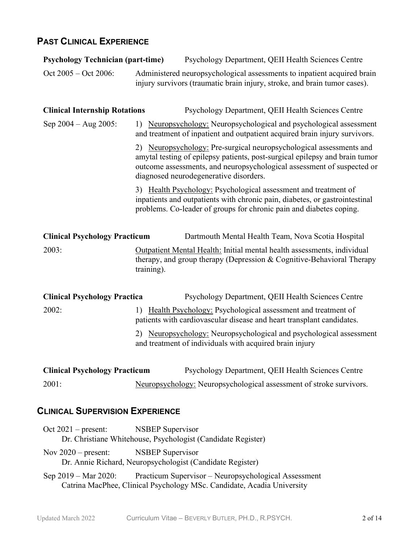## PAST CLINICAL EXPERIENCE

| <b>Psychology Technician (part-time)</b> |            | Psychology Department, QEII Health Sciences Centre                                                                                                                                                                                                                     |
|------------------------------------------|------------|------------------------------------------------------------------------------------------------------------------------------------------------------------------------------------------------------------------------------------------------------------------------|
| Oct 2005 – Oct 2006:                     |            | Administered neuropsychological assessments to inpatient acquired brain<br>injury survivors (traumatic brain injury, stroke, and brain tumor cases).                                                                                                                   |
| <b>Clinical Internship Rotations</b>     |            | Psychology Department, QEII Health Sciences Centre                                                                                                                                                                                                                     |
| Sep $2004 - Aug 2005$ :                  |            | 1) Neuropsychology: Neuropsychological and psychological assessment<br>and treatment of inpatient and outpatient acquired brain injury survivors.                                                                                                                      |
|                                          |            | 2) Neuropsychology: Pre-surgical neuropsychological assessments and<br>amytal testing of epilepsy patients, post-surgical epilepsy and brain tumor<br>outcome assessments, and neuropsychological assessment of suspected or<br>diagnosed neurodegenerative disorders. |
|                                          |            | 3) Health Psychology: Psychological assessment and treatment of<br>inpatients and outpatients with chronic pain, diabetes, or gastrointestinal<br>problems. Co-leader of groups for chronic pain and diabetes coping.                                                  |
| <b>Clinical Psychology Practicum</b>     |            | Dartmouth Mental Health Team, Nova Scotia Hospital                                                                                                                                                                                                                     |
| 2003:                                    | training). | Outpatient Mental Health: Initial mental health assessments, individual<br>therapy, and group therapy (Depression & Cognitive-Behavioral Therapy                                                                                                                       |
| <b>Clinical Psychology Practica</b>      |            | Psychology Department, QEII Health Sciences Centre                                                                                                                                                                                                                     |
| 2002:                                    |            | 1) Health Psychology: Psychological assessment and treatment of<br>patients with cardiovascular disease and heart transplant candidates.                                                                                                                               |
|                                          |            | 2) Neuropsychology: Neuropsychological and psychological assessment<br>and treatment of individuals with acquired brain injury                                                                                                                                         |
| <b>Clinical Psychology Practicum</b>     |            | Psychology Department, QEII Health Sciences Centre                                                                                                                                                                                                                     |
| 2001:                                    |            | Neuropsychology: Neuropsychological assessment of stroke survivors.                                                                                                                                                                                                    |

## CLINICAL SUPERVISION EXPERIENCE

| Oct $2021$ – present:                  | <b>NSBEP Supervisor</b>                                                                                                        |
|----------------------------------------|--------------------------------------------------------------------------------------------------------------------------------|
|                                        | Dr. Christiane Whitehouse, Psychologist (Candidate Register)                                                                   |
| Nov $2020$ – present: NSBEP Supervisor | Dr. Annie Richard, Neuropsychologist (Candidate Register)                                                                      |
| Sep 2019 – Mar 2020:                   | Practicum Supervisor – Neuropsychological Assessment<br>Catrina MacPhee, Clinical Psychology MSc. Candidate, Acadia University |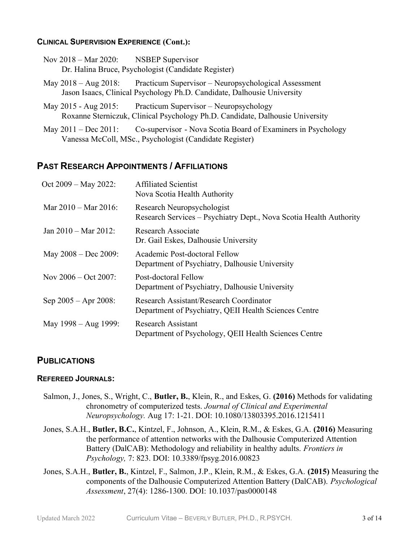#### CLINICAL SUPERVISION EXPERIENCE (Cont.):

| Nov $2018 - \text{Mar } 2020$ : | <b>NSBEP</b> Supervisor                             |
|---------------------------------|-----------------------------------------------------|
|                                 | Dr. Halina Bruce, Psychologist (Candidate Register) |

May 2018 – Aug 2018: Practicum Supervisor – Neuropsychological Assessment Jason Isaacs, Clinical Psychology Ph.D. Candidate, Dalhousie University

May 2015 - Aug 2015: Practicum Supervisor – Neuropsychology Roxanne Sterniczuk, Clinical Psychology Ph.D. Candidate, Dalhousie University

May 2011 – Dec 2011: Co-supervisor - Nova Scotia Board of Examiners in Psychology Vanessa McColl, MSc., Psychologist (Candidate Register)

### PAST RESEARCH APPOINTMENTS / AFFILIATIONS

| $Oct 2009 - May 2022$ :         | <b>Affiliated Scientist</b><br>Nova Scotia Health Authority                                      |
|---------------------------------|--------------------------------------------------------------------------------------------------|
| Mar $2010 - \text{Mar } 2016$ : | Research Neuropsychologist<br>Research Services – Psychiatry Dept., Nova Scotia Health Authority |
| Jan $2010 - \text{Mar } 2012$ : | Research Associate<br>Dr. Gail Eskes, Dalhousie University                                       |
| May $2008 - Dec 2009$ :         | Academic Post-doctoral Fellow<br>Department of Psychiatry, Dalhousie University                  |
| Nov $2006 - \text{Oct } 2007$ : | Post-doctoral Fellow<br>Department of Psychiatry, Dalhousie University                           |
| Sep $2005 -$ Apr $2008$ :       | Research Assistant/Research Coordinator<br>Department of Psychiatry, QEII Health Sciences Centre |
| May 1998 – Aug 1999:            | Research Assistant<br>Department of Psychology, QEII Health Sciences Centre                      |

### **PUBLICATIONS**

#### REFEREED JOURNALS:

- Salmon, J., Jones, S., Wright, C., Butler, B., Klein, R., and Eskes, G. (2016) Methods for validating chronometry of computerized tests. Journal of Clinical and Experimental Neuropsychology. Aug 17: 1-21. DOI: 10.1080/13803395.2016.1215411
- Jones, S.A.H., Butler, B.C., Kintzel, F., Johnson, A., Klein, R.M., & Eskes, G.A. (2016) Measuring the performance of attention networks with the Dalhousie Computerized Attention Battery (DalCAB): Methodology and reliability in healthy adults. *Frontiers in* Psychology, 7: 823. DOI: 10.3389/fpsyg.2016.00823
- Jones, S.A.H., Butler, B., Kintzel, F., Salmon, J.P., Klein, R.M., & Eskes, G.A. (2015) Measuring the components of the Dalhousie Computerized Attention Battery (DalCAB). Psychological Assessment, 27(4): 1286-1300. DOI: 10.1037/pas0000148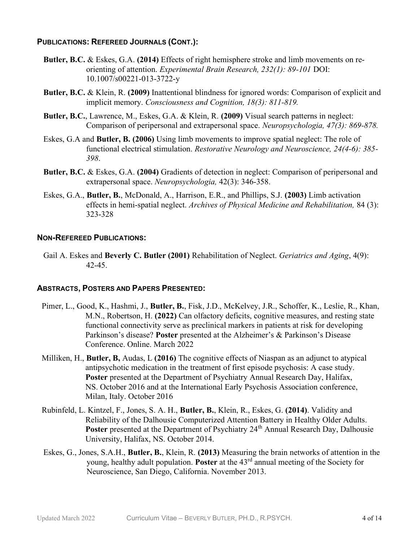#### PUBLICATIONS: REFEREED JOURNALS (CONT.):

- Butler, B.C. & Eskes, G.A. (2014) Effects of right hemisphere stroke and limb movements on reorienting of attention. Experimental Brain Research, 232(1): 89-101 DOI: 10.1007/s00221-013-3722-y
- Butler, B.C. & Klein, R. (2009) Inattentional blindness for ignored words: Comparison of explicit and implicit memory. Consciousness and Cognition, 18(3): 811-819.
- Butler, B.C., Lawrence, M., Eskes, G.A. & Klein, R. (2009) Visual search patterns in neglect: Comparison of peripersonal and extrapersonal space. Neuropsychologia, 47(3): 869-878.
- Eskes, G.A and Butler, B. (2006) Using limb movements to improve spatial neglect: The role of functional electrical stimulation. Restorative Neurology and Neuroscience, 24(4-6): 385- 398.
- Butler, B.C. & Eskes, G.A. (2004) Gradients of detection in neglect: Comparison of peripersonal and extrapersonal space. Neuropsychologia, 42(3): 346-358.
- Eskes, G.A., Butler, B., McDonald, A., Harrison, E.R., and Phillips, S.J. (2003) Limb activation effects in hemi-spatial neglect. Archives of Physical Medicine and Rehabilitation, 84 (3): 323-328

#### NON-REFEREED PUBLICATIONS:

Gail A. Eskes and Beverly C. Butler (2001) Rehabilitation of Neglect. Geriatrics and Aging, 4(9): 42-45.

#### ABSTRACTS, POSTERS AND PAPERS PRESENTED:

- Pimer, L., Good, K., Hashmi, J., **Butler, B.**, Fisk, J.D., McKelvey, J.R., Schoffer, K., Leslie, R., Khan, M.N., Robertson, H. (2022) Can olfactory deficits, cognitive measures, and resting state functional connectivity serve as preclinical markers in patients at risk for developing Parkinson's disease? Poster presented at the Alzheimer's & Parkinson's Disease Conference. Online. March 2022
- Milliken, H., Butler, B. Audas, L (2016) The cognitive effects of Niaspan as an adjunct to atypical antipsychotic medication in the treatment of first episode psychosis: A case study. Poster presented at the Department of Psychiatry Annual Research Day, Halifax, NS. October 2016 and at the International Early Psychosis Association conference, Milan, Italy. October 2016
- Rubinfeld, L. Kintzel, F., Jones, S. A. H., Butler, B., Klein, R., Eskes, G. (2014). Validity and Reliability of the Dalhousie Computerized Attention Battery in Healthy Older Adults. Poster presented at the Department of Psychiatry 24<sup>th</sup> Annual Research Day, Dalhousie University, Halifax, NS. October 2014.
- Eskes, G., Jones, S.A.H., Butler, B., Klein, R. (2013) Measuring the brain networks of attention in the young, healthy adult population. Poster at the  $43<sup>rd</sup>$  annual meeting of the Society for Neuroscience, San Diego, California. November 2013.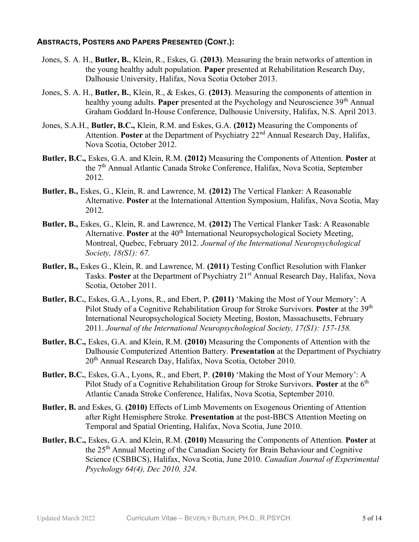### ABSTRACTS, POSTERS AND PAPERS PRESENTED (CONT.):

- Jones, S. A. H., Butler, B., Klein, R., Eskes, G. (2013). Measuring the brain networks of attention in the young healthy adult population. Paper presented at Rehabilitation Research Day, Dalhousie University, Halifax, Nova Scotia October 2013.
- Jones, S. A. H., Butler, B., Klein, R., & Eskes, G. (2013). Measuring the components of attention in healthy young adults. **Paper** presented at the Psychology and Neuroscience 39<sup>th</sup> Annual Graham Goddard In-House Conference, Dalhousie University, Halifax, N.S. April 2013.
- Jones, S.A.H., Butler, B.C., Klein, R.M. and Eskes, G.A. (2012) Measuring the Components of Attention. Poster at the Department of Psychiatry  $22<sup>nd</sup>$  Annual Research Day, Halifax, Nova Scotia, October 2012.
- Butler, B.C., Eskes, G.A. and Klein, R.M. (2012) Measuring the Components of Attention. Poster at the 7<sup>th</sup> Annual Atlantic Canada Stroke Conference, Halifax, Nova Scotia, September 2012.
- Butler, B., Eskes, G., Klein, R. and Lawrence, M. (2012) The Vertical Flanker: A Reasonable Alternative. Poster at the International Attention Symposium, Halifax, Nova Scotia, May 2012.
- Butler, B., Eskes, G., Klein, R. and Lawrence, M. (2012) The Vertical Flanker Task: A Reasonable Alternative. Poster at the  $40<sup>th</sup>$  International Neuropsychological Society Meeting, Montreal, Quebec, February 2012. Journal of the International Neuropsychological Society, 18(S1): 67.
- Butler, B., Eskes G., Klein, R. and Lawrence, M. (2011) Testing Conflict Resolution with Flanker Tasks. Poster at the Department of Psychiatry 21st Annual Research Day, Halifax, Nova Scotia, October 2011.
- Butler, B.C., Eskes, G.A., Lyons, R., and Ebert, P. (2011) 'Making the Most of Your Memory': A Pilot Study of a Cognitive Rehabilitation Group for Stroke Survivors. Poster at the 39<sup>th</sup> International Neuropsychological Society Meeting, Boston, Massachusetts, February 2011. Journal of the International Neuropsychological Society, 17(S1): 157-158.
- Butler, B.C., Eskes, G.A. and Klein, R.M. (2010) Measuring the Components of Attention with the Dalhousie Computerized Attention Battery. Presentation at the Department of Psychiatry 20<sup>th</sup> Annual Research Day, Halifax, Nova Scotia, October 2010.
- Butler, B.C., Eskes, G.A., Lyons, R., and Ebert, P. (2010) 'Making the Most of Your Memory': A Pilot Study of a Cognitive Rehabilitation Group for Stroke Survivors. **Poster** at the  $6<sup>th</sup>$ Atlantic Canada Stroke Conference, Halifax, Nova Scotia, September 2010.
- Butler, B. and Eskes, G. (2010) Effects of Limb Movements on Exogenous Orienting of Attention after Right Hemisphere Stroke. Presentation at the post-BBCS Attention Meeting on Temporal and Spatial Orienting, Halifax, Nova Scotia, June 2010.
- Butler, B.C., Eskes, G.A. and Klein, R.M. (2010) Measuring the Components of Attention. Poster at the 25<sup>th</sup> Annual Meeting of the Canadian Society for Brain Behaviour and Cognitive Science (CSBBCS), Halifax, Nova Scotia, June 2010. Canadian Journal of Experimental Psychology 64(4), Dec 2010, 324.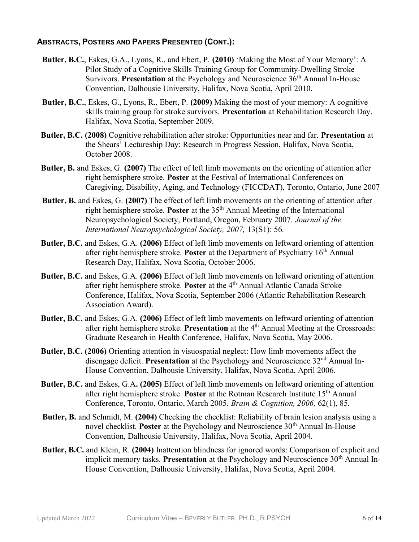### ABSTRACTS, POSTERS AND PAPERS PRESENTED (CONT.):

- Butler, B.C., Eskes, G.A., Lyons, R., and Ebert, P. (2010) 'Making the Most of Your Memory': A Pilot Study of a Cognitive Skills Training Group for Community-Dwelling Stroke Survivors. Presentation at the Psychology and Neuroscience  $36<sup>th</sup>$  Annual In-House Convention, Dalhousie University, Halifax, Nova Scotia, April 2010.
- Butler, B.C., Eskes, G., Lyons, R., Ebert, P. (2009) Making the most of your memory: A cognitive skills training group for stroke survivors. Presentation at Rehabilitation Research Day, Halifax, Nova Scotia, September 2009.
- Butler, B.C. (2008) Cognitive rehabilitation after stroke: Opportunities near and far. Presentation at the Shears' Lectureship Day: Research in Progress Session, Halifax, Nova Scotia, October 2008.
- Butler, B. and Eskes, G. (2007) The effect of left limb movements on the orienting of attention after right hemisphere stroke. Poster at the Festival of International Conferences on Caregiving, Disability, Aging, and Technology (FICCDAT), Toronto, Ontario, June 2007
- Butler, B. and Eskes, G. (2007) The effect of left limb movements on the orienting of attention after right hemisphere stroke. Poster at the 35<sup>th</sup> Annual Meeting of the International Neuropsychological Society, Portland, Oregon, February 2007. Journal of the International Neuropsychological Society, 2007, 13(S1): 56.
- Butler, B.C. and Eskes, G.A. (2006) Effect of left limb movements on leftward orienting of attention after right hemisphere stroke. **Poster** at the Department of Psychiatry  $16<sup>th</sup>$  Annual Research Day, Halifax, Nova Scotia, October 2006.
- Butler, B.C. and Eskes, G.A. (2006) Effect of left limb movements on leftward orienting of attention after right hemisphere stroke. Poster at the  $4<sup>th</sup>$  Annual Atlantic Canada Stroke Conference, Halifax, Nova Scotia, September 2006 (Atlantic Rehabilitation Research Association Award).
- Butler, B.C. and Eskes, G.A. (2006) Effect of left limb movements on leftward orienting of attention after right hemisphere stroke. Presentation at the  $4<sup>th</sup>$  Annual Meeting at the Crossroads: Graduate Research in Health Conference, Halifax, Nova Scotia, May 2006.
- Butler, B.C. (2006) Orienting attention in visuospatial neglect: How limb movements affect the disengage deficit. Presentation at the Psychology and Neuroscience  $32<sup>nd</sup>$  Annual In-House Convention, Dalhousie University, Halifax, Nova Scotia, April 2006.
- Butler, B.C. and Eskes, G.A. (2005) Effect of left limb movements on leftward orienting of attention after right hemisphere stroke. **Poster** at the Rotman Research Institute  $15<sup>th</sup>$  Annual Conference, Toronto, Ontario, March 2005. Brain & Cognition, 2006, 62(1), 85.
- Butler, B. and Schmidt, M. (2004) Checking the checklist: Reliability of brain lesion analysis using a novel checklist. **Poster** at the Psychology and Neuroscience  $30<sup>th</sup>$  Annual In-House Convention, Dalhousie University, Halifax, Nova Scotia, April 2004.
- Butler, B.C. and Klein, R. (2004) Inattention blindness for ignored words: Comparison of explicit and implicit memory tasks. Presentation at the Psychology and Neuroscience  $30<sup>th</sup>$  Annual In-House Convention, Dalhousie University, Halifax, Nova Scotia, April 2004.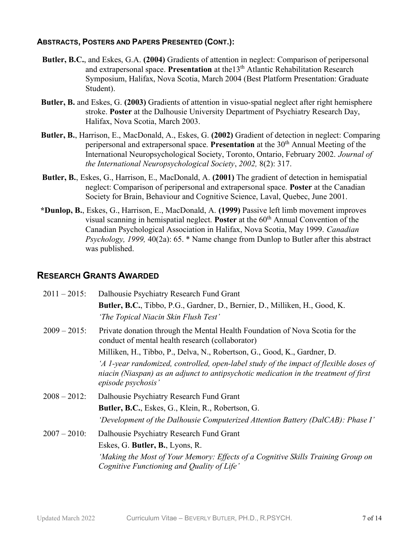### ABSTRACTS, POSTERS AND PAPERS PRESENTED (CONT.):

- Butler, B.C., and Eskes, G.A. (2004) Gradients of attention in neglect: Comparison of peripersonal and extrapersonal space. Presentation at the  $13<sup>th</sup>$  Atlantic Rehabilitation Research Symposium, Halifax, Nova Scotia, March 2004 (Best Platform Presentation: Graduate Student).
- Butler, B. and Eskes, G. (2003) Gradients of attention in visuo-spatial neglect after right hemisphere stroke. Poster at the Dalhousie University Department of Psychiatry Research Day, Halifax, Nova Scotia, March 2003.
- Butler, B., Harrison, E., MacDonald, A., Eskes, G. (2002) Gradient of detection in neglect: Comparing peripersonal and extrapersonal space. Presentation at the  $30<sup>th</sup>$  Annual Meeting of the International Neuropsychological Society, Toronto, Ontario, February 2002. Journal of the International Neuropsychological Society, 2002, 8(2): 317.
- Butler, B., Eskes, G., Harrison, E., MacDonald, A. (2001) The gradient of detection in hemispatial neglect: Comparison of peripersonal and extrapersonal space. Poster at the Canadian Society for Brain, Behaviour and Cognitive Science, Laval, Quebec, June 2001.
- \*Dunlop, B., Eskes, G., Harrison, E., MacDonald, A. (1999) Passive left limb movement improves visual scanning in hemispatial neglect. **Poster** at the  $60<sup>th</sup>$  Annual Convention of the Canadian Psychological Association in Halifax, Nova Scotia, May 1999. Canadian Psychology, 1999, 40(2a): 65. \* Name change from Dunlop to Butler after this abstract was published.

### RESEARCH GRANTS AWARDED

| $2011 - 2015$ : | Dalhousie Psychiatry Research Fund Grant                                                                                                                                                            |
|-----------------|-----------------------------------------------------------------------------------------------------------------------------------------------------------------------------------------------------|
|                 | Butler, B.C., Tibbo, P.G., Gardner, D., Bernier, D., Milliken, H., Good, K.                                                                                                                         |
|                 | 'The Topical Niacin Skin Flush Test'                                                                                                                                                                |
| $2009 - 2015$ : | Private donation through the Mental Health Foundation of Nova Scotia for the<br>conduct of mental health research (collaborator)                                                                    |
|                 | Milliken, H., Tibbo, P., Delva, N., Robertson, G., Good, K., Gardner, D.                                                                                                                            |
|                 | 'A 1-year randomized, controlled, open-label study of the impact of flexible doses of<br>niacin (Niaspan) as an adjunct to antipsychotic medication in the treatment of first<br>episode psychosis' |
| $2008 - 2012$ : | Dalhousie Psychiatry Research Fund Grant                                                                                                                                                            |
|                 | Butler, B.C., Eskes, G., Klein, R., Robertson, G.                                                                                                                                                   |
|                 | 'Development of the Dalhousie Computerized Attention Battery (DalCAB): Phase I'                                                                                                                     |
| $2007 - 2010$ : | Dalhousie Psychiatry Research Fund Grant                                                                                                                                                            |
|                 | Eskes, G. Butler, B., Lyons, R.                                                                                                                                                                     |
|                 | 'Making the Most of Your Memory: Effects of a Cognitive Skills Training Group on<br>Cognitive Functioning and Quality of Life'                                                                      |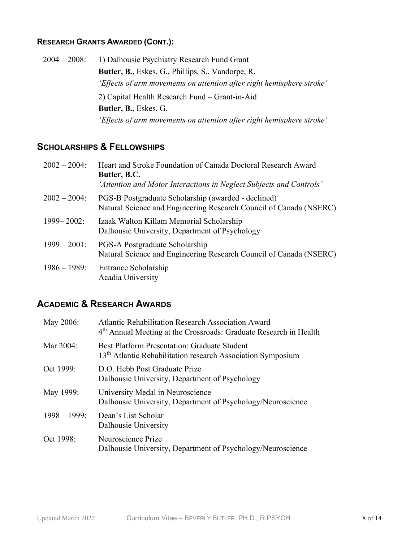### RESEARCH GRANTS AWARDED (CONT.):

| $2004 - 2008$ : | 1) Dalhousie Psychiatry Research Fund Grant                           |
|-----------------|-----------------------------------------------------------------------|
|                 | Butler, B., Eskes, G., Phillips, S., Vandorpe, R.                     |
|                 | 'Effects of arm movements on attention after right hemisphere stroke' |
|                 | 2) Capital Health Research Fund – Grant-in-Aid                        |
|                 | <b>Butler, B., Eskes, G.</b>                                          |
|                 | 'Effects of arm movements on attention after right hemisphere stroke' |

## SCHOLARSHIPS & FELLOWSHIPS

| $2002 - 2004$ : | Heart and Stroke Foundation of Canada Doctoral Research Award<br>Butler, B.C.<br>'Attention and Motor Interactions in Neglect Subjects and Controls' |
|-----------------|------------------------------------------------------------------------------------------------------------------------------------------------------|
| $2002 - 2004$ : | PGS-B Postgraduate Scholarship (awarded - declined)<br>Natural Science and Engineering Research Council of Canada (NSERC)                            |
| $1999 - 2002$ : | Izaak Walton Killam Memorial Scholarship<br>Dalhousie University, Department of Psychology                                                           |
| $1999 - 2001$ : | PGS-A Postgraduate Scholarship<br>Natural Science and Engineering Research Council of Canada (NSERC)                                                 |
| $1986 - 1989$ : | Entrance Scholarship<br>Acadia University                                                                                                            |

## ACADEMIC & RESEARCH AWARDS

| May 2006:       | <b>Atlantic Rehabilitation Research Association Award</b><br>4 <sup>th</sup> Annual Meeting at the Crossroads: Graduate Research in Health |
|-----------------|--------------------------------------------------------------------------------------------------------------------------------------------|
| Mar 2004:       | <b>Best Platform Presentation: Graduate Student</b><br>13 <sup>th</sup> Atlantic Rehabilitation research Association Symposium             |
| Oct 1999:       | D.O. Hebb Post Graduate Prize<br>Dalhousie University, Department of Psychology                                                            |
| May 1999:       | University Medal in Neuroscience<br>Dalhousie University, Department of Psychology/Neuroscience                                            |
| $1998 - 1999$ : | Dean's List Scholar<br>Dalhousie University                                                                                                |
| Oct 1998:       | Neuroscience Prize<br>Dalhousie University, Department of Psychology/Neuroscience                                                          |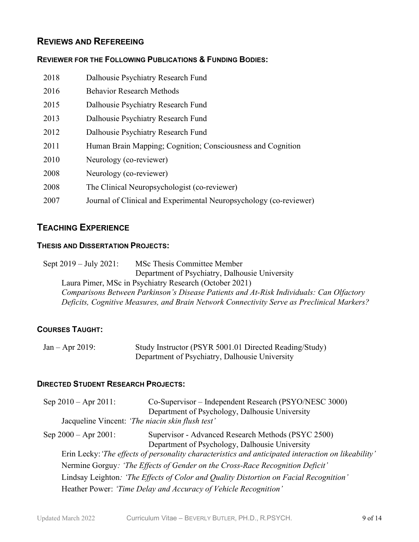### REVIEWS AND REFEREEING

#### REVIEWER FOR THE FOLLOWING PUBLICATIONS & FUNDING BODIES:

| 2018 | Dalhousie Psychiatry Research Fund                                 |
|------|--------------------------------------------------------------------|
| 2016 | <b>Behavior Research Methods</b>                                   |
| 2015 | Dalhousie Psychiatry Research Fund                                 |
| 2013 | Dalhousie Psychiatry Research Fund                                 |
| 2012 | Dalhousie Psychiatry Research Fund                                 |
| 2011 | Human Brain Mapping; Cognition; Consciousness and Cognition        |
| 2010 | Neurology (co-reviewer)                                            |
| 2008 | Neurology (co-reviewer)                                            |
| 2008 | The Clinical Neuropsychologist (co-reviewer)                       |
| 2007 | Journal of Clinical and Experimental Neuropsychology (co-reviewer) |

### TEACHING EXPERIENCE

#### THESIS AND DISSERTATION PROJECTS:

Sept 2019 – July 2021: MSc Thesis Committee Member Department of Psychiatry, Dalhousie University Laura Pimer, MSc in Psychiatry Research (October 2021) Comparisons Between Parkinson's Disease Patients and At-Risk Individuals: Can Olfactory Deficits, Cognitive Measures, and Brain Network Connectivity Serve as Preclinical Markers?

### COURSES TAUGHT:

| $Jan - Apr 2019$ : | Study Instructor (PSYR 5001.01 Directed Reading/Study) |
|--------------------|--------------------------------------------------------|
|                    | Department of Psychiatry, Dalhousie University         |

### DIRECTED STUDENT RESEARCH PROJECTS:

| Sep $2010 -$ Apr $2011$ :                        | Co-Supervisor – Independent Research (PSYO/NESC 3000)                                               |
|--------------------------------------------------|-----------------------------------------------------------------------------------------------------|
|                                                  | Department of Psychology, Dalhousie University                                                      |
| Jacqueline Vincent: 'The niacin skin flush test' |                                                                                                     |
| Sep $2000 -$ Apr $2001$ :                        | Supervisor - Advanced Research Methods (PSYC 2500)                                                  |
|                                                  | Department of Psychology, Dalhousie University                                                      |
|                                                  | Erin Lecky: 'The effects of personality characteristics and anticipated interaction on likeability' |
|                                                  | Nermine Gorguy: 'The Effects of Gender on the Cross-Race Recognition Deficit'                       |
|                                                  | Lindsay Leighton: 'The Effects of Color and Quality Distortion on Facial Recognition'               |
|                                                  | Heather Power: 'Time Delay and Accuracy of Vehicle Recognition'                                     |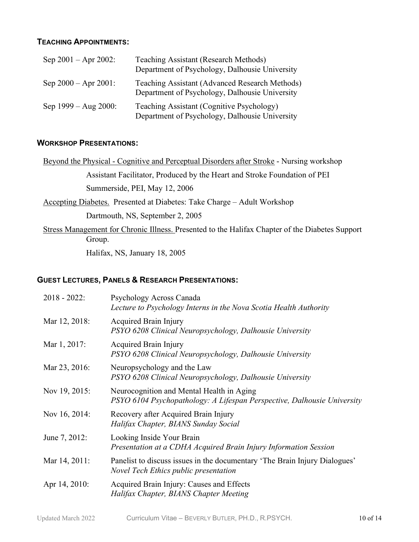### TEACHING APPOINTMENTS:

| Sep $2001 -$ Apr $2002$ : | <b>Teaching Assistant (Research Methods)</b><br>Department of Psychology, Dalhousie University   |
|---------------------------|--------------------------------------------------------------------------------------------------|
| Sep $2000 -$ Apr $2001$ : | Teaching Assistant (Advanced Research Methods)<br>Department of Psychology, Dalhousie University |
| Sep $1999 - Aug\ 2000$ :  | Teaching Assistant (Cognitive Psychology)<br>Department of Psychology, Dalhousie University      |

### WORKSHOP PRESENTATIONS:

| Beyond the Physical - Cognitive and Perceptual Disorders after Stroke - Nursing workshop                  |
|-----------------------------------------------------------------------------------------------------------|
| Assistant Facilitator, Produced by the Heart and Stroke Foundation of PEI                                 |
| Summerside, PEI, May 12, 2006                                                                             |
| Accepting Diabetes. Presented at Diabetes: Take Charge – Adult Workshop                                   |
| Dartmouth, NS, September 2, 2005                                                                          |
| Stress Management for Chronic Illness. Presented to the Halifax Chapter of the Diabetes Support<br>Group. |

Halifax, NS, January 18, 2005

### GUEST LECTURES, PANELS & RESEARCH PRESENTATIONS:

| $2018 - 2022$ : | Psychology Across Canada<br>Lecture to Psychology Interns in the Nova Scotia Health Authority                        |
|-----------------|----------------------------------------------------------------------------------------------------------------------|
| Mar 12, 2018:   | Acquired Brain Injury<br>PSYO 6208 Clinical Neuropsychology, Dalhousie University                                    |
| Mar 1, 2017:    | Acquired Brain Injury<br>PSYO 6208 Clinical Neuropsychology, Dalhousie University                                    |
| Mar 23, 2016:   | Neuropsychology and the Law<br>PSYO 6208 Clinical Neuropsychology, Dalhousie University                              |
| Nov 19, 2015:   | Neurocognition and Mental Health in Aging<br>PSYO 6104 Psychopathology: A Lifespan Perspective, Dalhousie University |
| Nov 16, 2014:   | Recovery after Acquired Brain Injury<br>Halifax Chapter, BIANS Sunday Social                                         |
| June 7, 2012:   | Looking Inside Your Brain<br>Presentation at a CDHA Acquired Brain Injury Information Session                        |
| Mar 14, 2011:   | Panelist to discuss issues in the documentary 'The Brain Injury Dialogues'<br>Novel Tech Ethics public presentation  |
| Apr 14, 2010:   | Acquired Brain Injury: Causes and Effects<br>Halifax Chapter, BIANS Chapter Meeting                                  |
|                 |                                                                                                                      |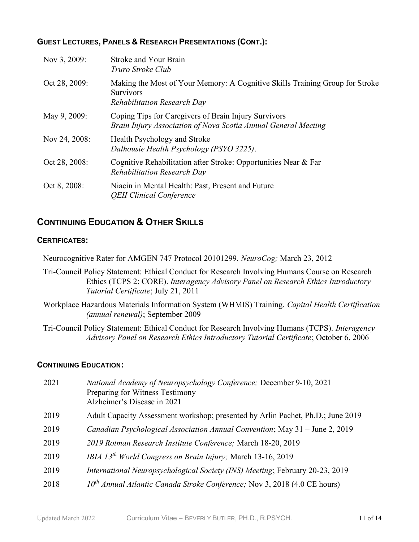### GUEST LECTURES, PANELS & RESEARCH PRESENTATIONS (CONT.):

| Nov 3, 2009:  | <b>Stroke and Your Brain</b><br>Truro Stroke Club                                                                               |
|---------------|---------------------------------------------------------------------------------------------------------------------------------|
| Oct 28, 2009: | Making the Most of Your Memory: A Cognitive Skills Training Group for Stroke<br><b>Survivors</b><br>Rehabilitation Research Day |
| May 9, 2009:  | Coping Tips for Caregivers of Brain Injury Survivors<br>Brain Injury Association of Nova Scotia Annual General Meeting          |
| Nov 24, 2008: | Health Psychology and Stroke<br>Dalhousie Health Psychology (PSYO 3225).                                                        |
| Oct 28, 2008: | Cognitive Rehabilitation after Stroke: Opportunities Near & Far<br><b>Rehabilitation Research Day</b>                           |
| Oct 8, 2008:  | Niacin in Mental Health: Past, Present and Future<br><b>QEII Clinical Conference</b>                                            |

### CONTINUING EDUCATION & OTHER SKILLS

#### CERTIFICATES:

Neurocognitive Rater for AMGEN 747 Protocol 20101299. NeuroCog; March 23, 2012

- Tri-Council Policy Statement: Ethical Conduct for Research Involving Humans Course on Research Ethics (TCPS 2: CORE). Interagency Advisory Panel on Research Ethics Introductory Tutorial Certificate; July 21, 2011
- Workplace Hazardous Materials Information System (WHMIS) Training. Capital Health Certification (annual renewal); September 2009
- Tri-Council Policy Statement: Ethical Conduct for Research Involving Humans (TCPS). Interagency Advisory Panel on Research Ethics Introductory Tutorial Certificate; October 6, 2006

### CONTINUING EDUCATION:

| 2021 | National Academy of Neuropsychology Conference; December 9-10, 2021<br>Preparing for Witness Testimony<br>Alzheimer's Disease in 2021 |
|------|---------------------------------------------------------------------------------------------------------------------------------------|
| 2019 | Adult Capacity Assessment workshop; presented by Arlin Pachet, Ph.D.; June 2019                                                       |
| 2019 | Canadian Psychological Association Annual Convention; May 31 - June 2, 2019                                                           |
| 2019 | 2019 Rotman Research Institute Conference; March 18-20, 2019                                                                          |
| 2019 | IBIA 13 <sup>th</sup> World Congress on Brain Injury; March 13-16, 2019                                                               |
| 2019 | International Neuropsychological Society (INS) Meeting; February 20-23, 2019                                                          |
| 2018 | $10^{th}$ Annual Atlantic Canada Stroke Conference; Nov 3, 2018 (4.0 CE hours)                                                        |
|      |                                                                                                                                       |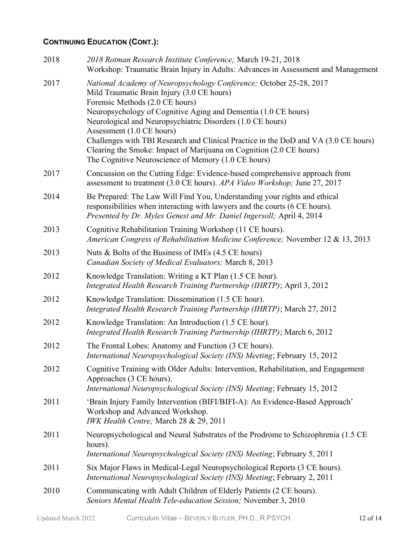## CONTINUING EDUCATION (CONT.):

| 2018 | 2018 Rotman Research Institute Conference; March 19-21, 2018<br>Workshop: Traumatic Brain Injury in Adults: Advances in Assessment and Management                                                                                              |
|------|------------------------------------------------------------------------------------------------------------------------------------------------------------------------------------------------------------------------------------------------|
| 2017 | National Academy of Neuropsychology Conference; October 25-28, 2017<br>Mild Traumatic Brain Injury (3.0 CE hours)<br>Forensic Methods (2.0 CE hours)<br>Neuropsychology of Cognitive Aging and Dementia (1.0 CE hours)                         |
|      | Neurological and Neuropsychiatric Disorders (1.0 CE hours)                                                                                                                                                                                     |
|      | Assessment (1.0 CE hours)<br>Challenges with TBI Research and Clinical Practice in the DoD and VA (3.0 CE hours)<br>Clearing the Smoke: Impact of Marijuana on Cognition (2.0 CE hours)<br>The Cognitive Neuroscience of Memory (1.0 CE hours) |
| 2017 | Concussion on the Cutting Edge: Evidence-based comprehensive approach from<br>assessment to treatment (3.0 CE hours). APA Video Workshop; June 27, 2017                                                                                        |
| 2014 | Be Prepared: The Law Will Find You, Understanding your rights and ethical<br>responsibilities when interacting with lawyers and the courts (6 CE hours).<br>Presented by Dr. Myles Genest and Mr. Daniel Ingersoll; April 4, 2014              |
| 2013 | Cognitive Rehabilitation Training Workshop (11 CE hours).<br>American Congress of Rehabilitation Medicine Conference; November 12 & 13, 2013                                                                                                   |
| 2013 | Nuts & Bolts of the Business of IMEs $(4.5 \text{ CE hours})$<br>Canadian Society of Medical Evaluators; March 8, 2013                                                                                                                         |
| 2012 | Knowledge Translation: Writing a KT Plan (1.5 CE hour).<br>Integrated Health Research Training Partnership (IHRTP); April 3, 2012                                                                                                              |
| 2012 | Knowledge Translation: Dissemination (1.5 CE hour).<br>Integrated Health Research Training Partnership (IHRTP); March 27, 2012                                                                                                                 |
| 2012 | Knowledge Translation: An Introduction (1.5 CE hour).<br>Integrated Health Research Training Partnership (IHRTP); March 6, 2012                                                                                                                |
| 2012 | The Frontal Lobes: Anatomy and Function (3 CE hours).<br>International Neuropsychological Society (INS) Meeting; February 15, 2012                                                                                                             |
| 2012 | Cognitive Training with Older Adults: Intervention, Rehabilitation, and Engagement<br>Approaches (3 CE hours).<br>International Neuropsychological Society (INS) Meeting; February 15, 2012                                                    |
| 2011 | 'Brain Injury Family Intervention (BIFI/BIFI-A): An Evidence-Based Approach'<br>Workshop and Advanced Workshop.<br>IWK Health Centre; March 28 & 29, 2011                                                                                      |
| 2011 | Neuropsychological and Neural Substrates of the Prodrome to Schizophrenia (1.5 CE<br>hours).<br>International Neuropsychological Society (INS) Meeting; February 5, 2011                                                                       |
| 2011 | Six Major Flaws in Medical-Legal Neuropsychological Reports (3 CE hours).<br>International Neuropsychological Society (INS) Meeting; February 2, 2011                                                                                          |
| 2010 | Communicating with Adult Children of Elderly Patients (2 CE hours).<br>Seniors Mental Health Tele-education Session; November 3, 2010                                                                                                          |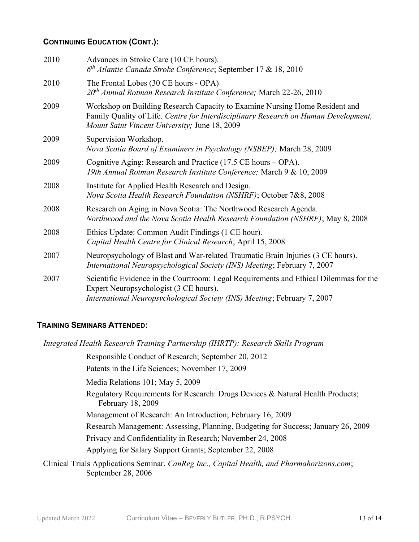### CONTINUING EDUCATION (CONT.):

| 2010 | Advances in Stroke Care (10 CE hours).<br>$6th$ Atlantic Canada Stroke Conference; September 17 & 18, 2010                                                                                                          |
|------|---------------------------------------------------------------------------------------------------------------------------------------------------------------------------------------------------------------------|
| 2010 | The Frontal Lobes (30 CE hours - OPA)<br>20 <sup>th</sup> Annual Rotman Research Institute Conference; March 22-26, 2010                                                                                            |
| 2009 | Workshop on Building Research Capacity to Examine Nursing Home Resident and<br>Family Quality of Life. Centre for Interdisciplinary Research on Human Development,<br>Mount Saint Vincent University; June 18, 2009 |
| 2009 | Supervision Workshop.<br>Nova Scotia Board of Examiners in Psychology (NSBEP); March 28, 2009                                                                                                                       |
| 2009 | Cognitive Aging: Research and Practice (17.5 CE hours – OPA).<br>19th Annual Rotman Research Institute Conference; March 9 & 10, 2009                                                                               |
| 2008 | Institute for Applied Health Research and Design.<br>Nova Scotia Health Research Foundation (NSHRF); October 7&8, 2008                                                                                              |
| 2008 | Research on Aging in Nova Scotia: The Northwood Research Agenda.<br>Northwood and the Nova Scotia Health Research Foundation (NSHRF); May 8, 2008                                                                   |
| 2008 | Ethics Update: Common Audit Findings (1 CE hour).<br>Capital Health Centre for Clinical Research; April 15, 2008                                                                                                    |
| 2007 | Neuropsychology of Blast and War-related Traumatic Brain Injuries (3 CE hours).<br>International Neuropsychological Society (INS) Meeting; February 7, 2007                                                         |
| 2007 | Scientific Evidence in the Courtroom: Legal Requirements and Ethical Dilemmas for the<br>Expert Neuropsychologist (3 CE hours).<br>International Neuropsychological Society (INS) Meeting; February 7, 2007         |

### TRAINING SEMINARS ATTENDED:

Integrated Health Research Training Partnership (IHRTP): Research Skills Program

Responsible Conduct of Research; September 20, 2012

Patents in the Life Sciences; November 17, 2009

Media Relations 101; May 5, 2009

Regulatory Requirements for Research: Drugs Devices & Natural Health Products; February 18, 2009

Management of Research: An Introduction; February 16, 2009

Research Management: Assessing, Planning, Budgeting for Success; January 26, 2009

Privacy and Confidentiality in Research; November 24, 2008

Applying for Salary Support Grants; September 22, 2008

Clinical Trials Applications Seminar. CanReg Inc., Capital Health, and Pharmahorizons.com; September 28, 2006